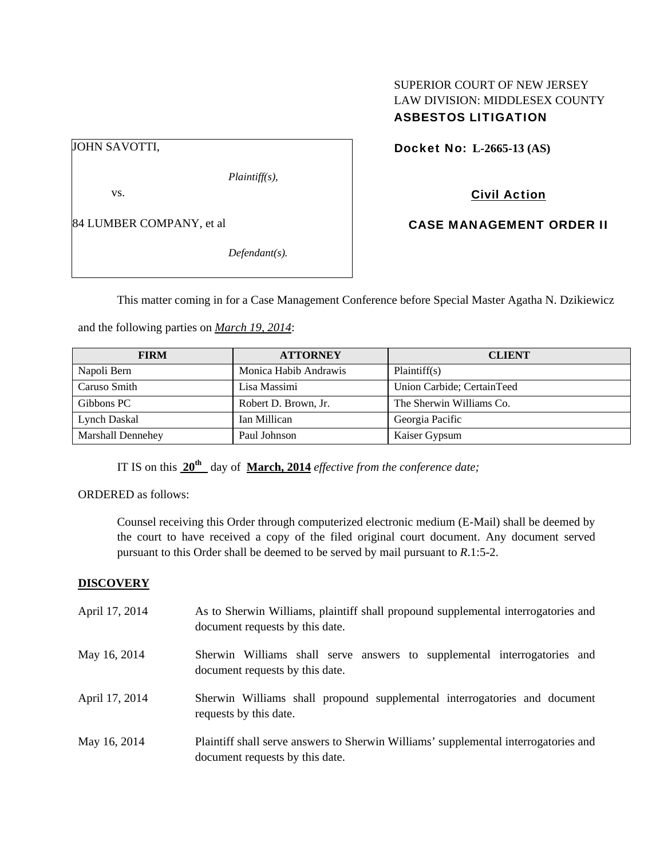# SUPERIOR COURT OF NEW JERSEY LAW DIVISION: MIDDLESEX COUNTY ASBESTOS LITIGATION

JOHN SAVOTTI,

*Plaintiff(s),* 

vs.

84 LUMBER COMPANY, et al

*Defendant(s).* 

Docket No: **L-2665-13 (AS)** 

Civil Action

CASE MANAGEMENT ORDER II

This matter coming in for a Case Management Conference before Special Master Agatha N. Dzikiewicz

and the following parties on *March 19, 2014*:

| <b>FIRM</b>              | <b>ATTORNEY</b>       | <b>CLIENT</b>              |
|--------------------------|-----------------------|----------------------------|
| Napoli Bern              | Monica Habib Andrawis | Plaintiff(s)               |
| Caruso Smith             | Lisa Massimi          | Union Carbide; CertainTeed |
| Gibbons PC               | Robert D. Brown, Jr.  | The Sherwin Williams Co.   |
| Lynch Daskal             | Ian Millican          | Georgia Pacific            |
| <b>Marshall Dennehey</b> | Paul Johnson          | Kaiser Gypsum              |

IT IS on this **20th** day of **March, 2014** *effective from the conference date;*

ORDERED as follows:

Counsel receiving this Order through computerized electronic medium (E-Mail) shall be deemed by the court to have received a copy of the filed original court document. Any document served pursuant to this Order shall be deemed to be served by mail pursuant to *R*.1:5-2.

## **DISCOVERY**

| April 17, 2014 | As to Sherwin Williams, plaintiff shall propound supplemental interrogatories and<br>document requests by this date.   |
|----------------|------------------------------------------------------------------------------------------------------------------------|
| May 16, 2014   | Sherwin Williams shall serve answers to supplemental interrogatories and<br>document requests by this date.            |
| April 17, 2014 | Sherwin Williams shall propound supplemental interrogatories and document<br>requests by this date.                    |
| May 16, 2014   | Plaintiff shall serve answers to Sherwin Williams' supplemental interrogatories and<br>document requests by this date. |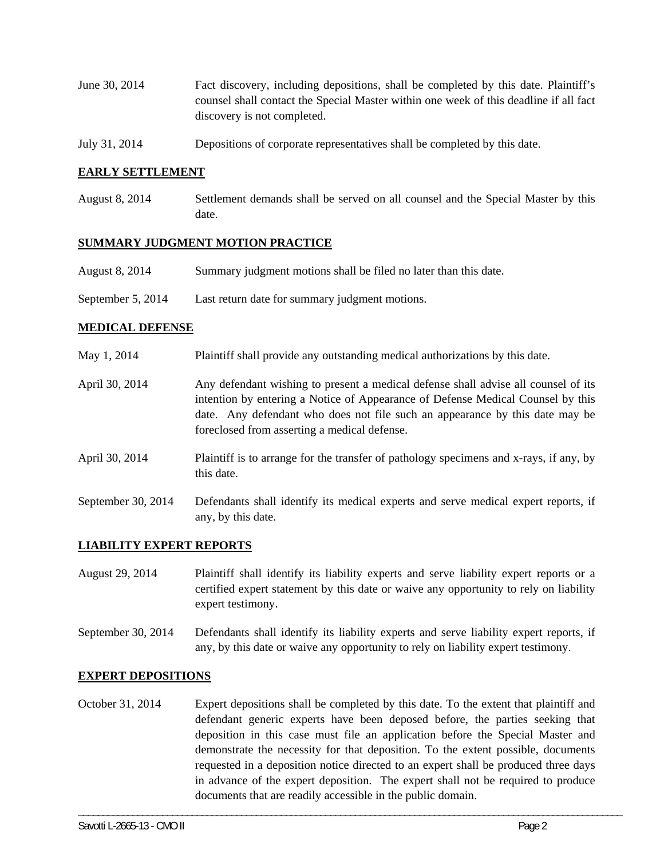- June 30, 2014 Fact discovery, including depositions, shall be completed by this date. Plaintiff's counsel shall contact the Special Master within one week of this deadline if all fact discovery is not completed.
- July 31, 2014 Depositions of corporate representatives shall be completed by this date.

#### **EARLY SETTLEMENT**

August 8, 2014 Settlement demands shall be served on all counsel and the Special Master by this date.

#### **SUMMARY JUDGMENT MOTION PRACTICE**

- August 8, 2014 Summary judgment motions shall be filed no later than this date.
- September 5, 2014 Last return date for summary judgment motions.

#### **MEDICAL DEFENSE**

- May 1, 2014 Plaintiff shall provide any outstanding medical authorizations by this date.
- April 30, 2014 Any defendant wishing to present a medical defense shall advise all counsel of its intention by entering a Notice of Appearance of Defense Medical Counsel by this date. Any defendant who does not file such an appearance by this date may be foreclosed from asserting a medical defense.
- April 30, 2014 Plaintiff is to arrange for the transfer of pathology specimens and x-rays, if any, by this date.
- September 30, 2014 Defendants shall identify its medical experts and serve medical expert reports, if any, by this date.

## **LIABILITY EXPERT REPORTS**

- August 29, 2014 Plaintiff shall identify its liability experts and serve liability expert reports or a certified expert statement by this date or waive any opportunity to rely on liability expert testimony.
- September 30, 2014 Defendants shall identify its liability experts and serve liability expert reports, if any, by this date or waive any opportunity to rely on liability expert testimony.

#### **EXPERT DEPOSITIONS**

October 31, 2014 Expert depositions shall be completed by this date. To the extent that plaintiff and defendant generic experts have been deposed before, the parties seeking that deposition in this case must file an application before the Special Master and demonstrate the necessity for that deposition. To the extent possible, documents requested in a deposition notice directed to an expert shall be produced three days in advance of the expert deposition. The expert shall not be required to produce documents that are readily accessible in the public domain.

\_\_\_\_\_\_\_\_\_\_\_\_\_\_\_\_\_\_\_\_\_\_\_\_\_\_\_\_\_\_\_\_\_\_\_\_\_\_\_\_\_\_\_\_\_\_\_\_\_\_\_\_\_\_\_\_\_\_\_\_\_\_\_\_\_\_\_\_\_\_\_\_\_\_\_\_\_\_\_\_\_\_\_\_\_\_\_\_\_\_\_\_\_\_\_\_\_\_\_\_\_\_\_\_\_\_\_\_\_\_